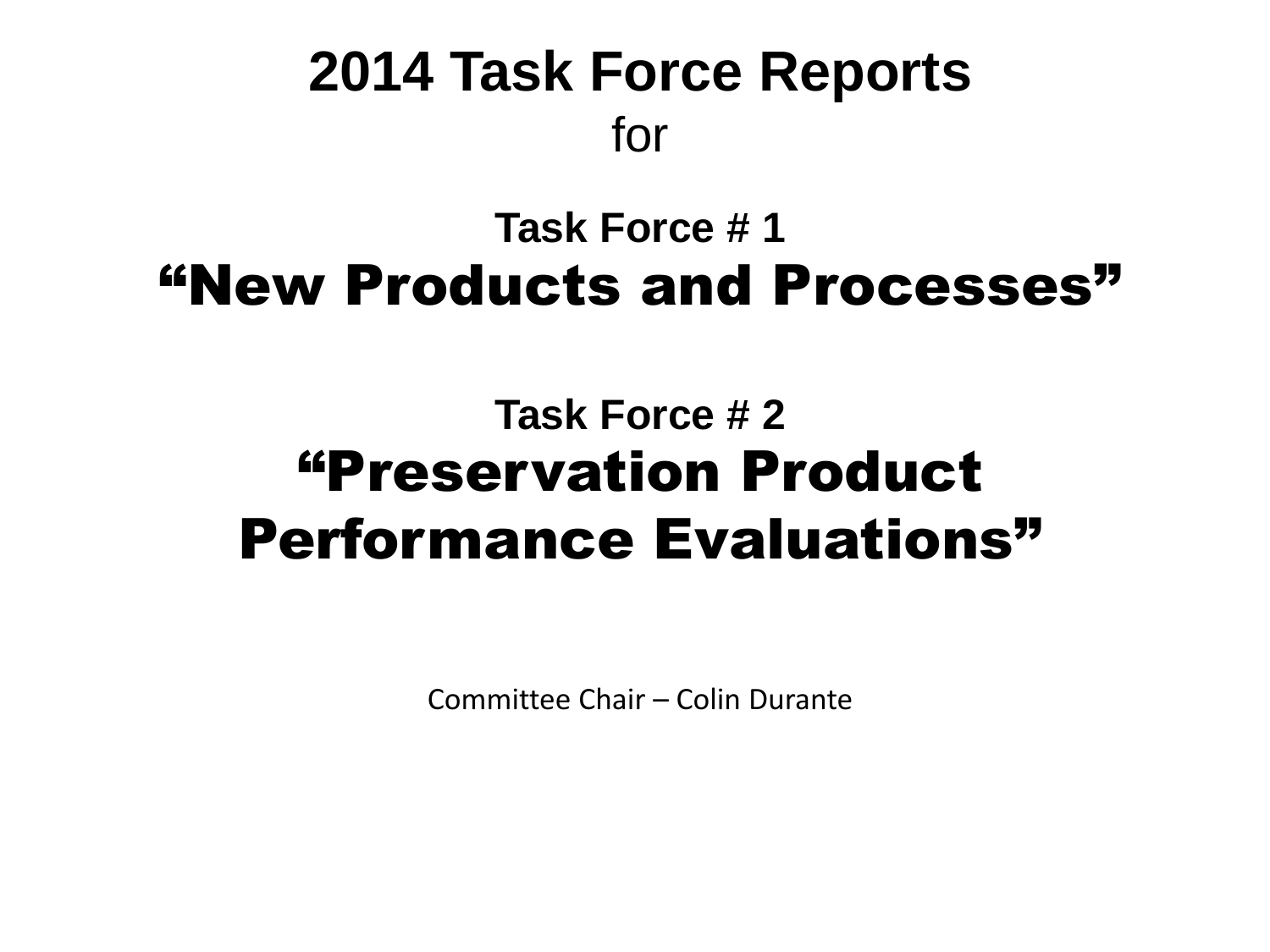## **2014 Task Force Reports** for

## **Task Force # 1**  "New Products and Processes"

## **Task Force # 2** "Preservation Product Performance Evaluations"

Committee Chair – Colin Durante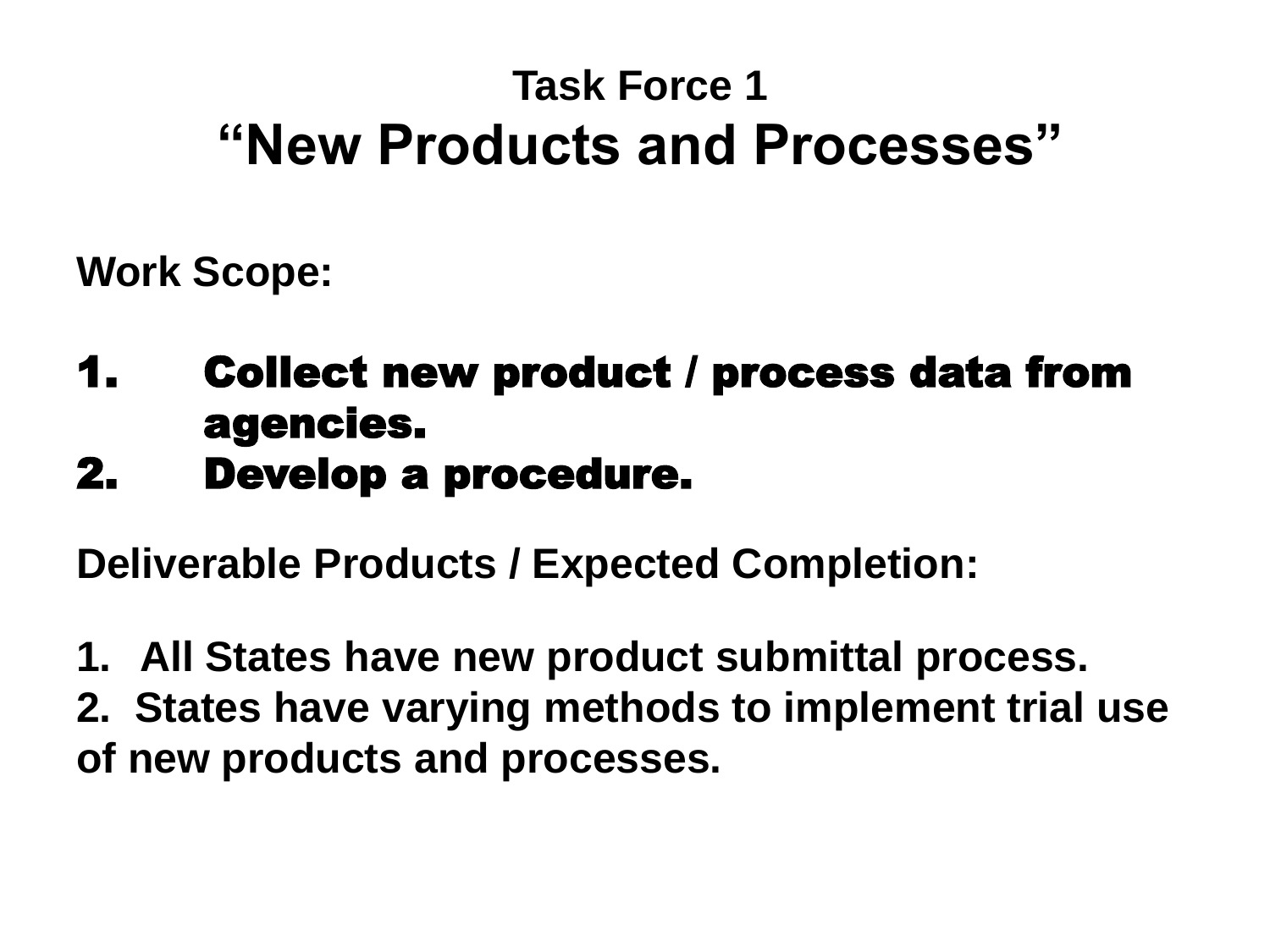## **Task Force 1 "New Products and Processes"**

**Work Scope:**

- 1. Collect new product / process data from agencies.
- 2. Develop a procedure.

**Deliverable Products / Expected Completion:**

- **1. All States have new product submittal process.**
- **2. States have varying methods to implement trial use of new products and processes.**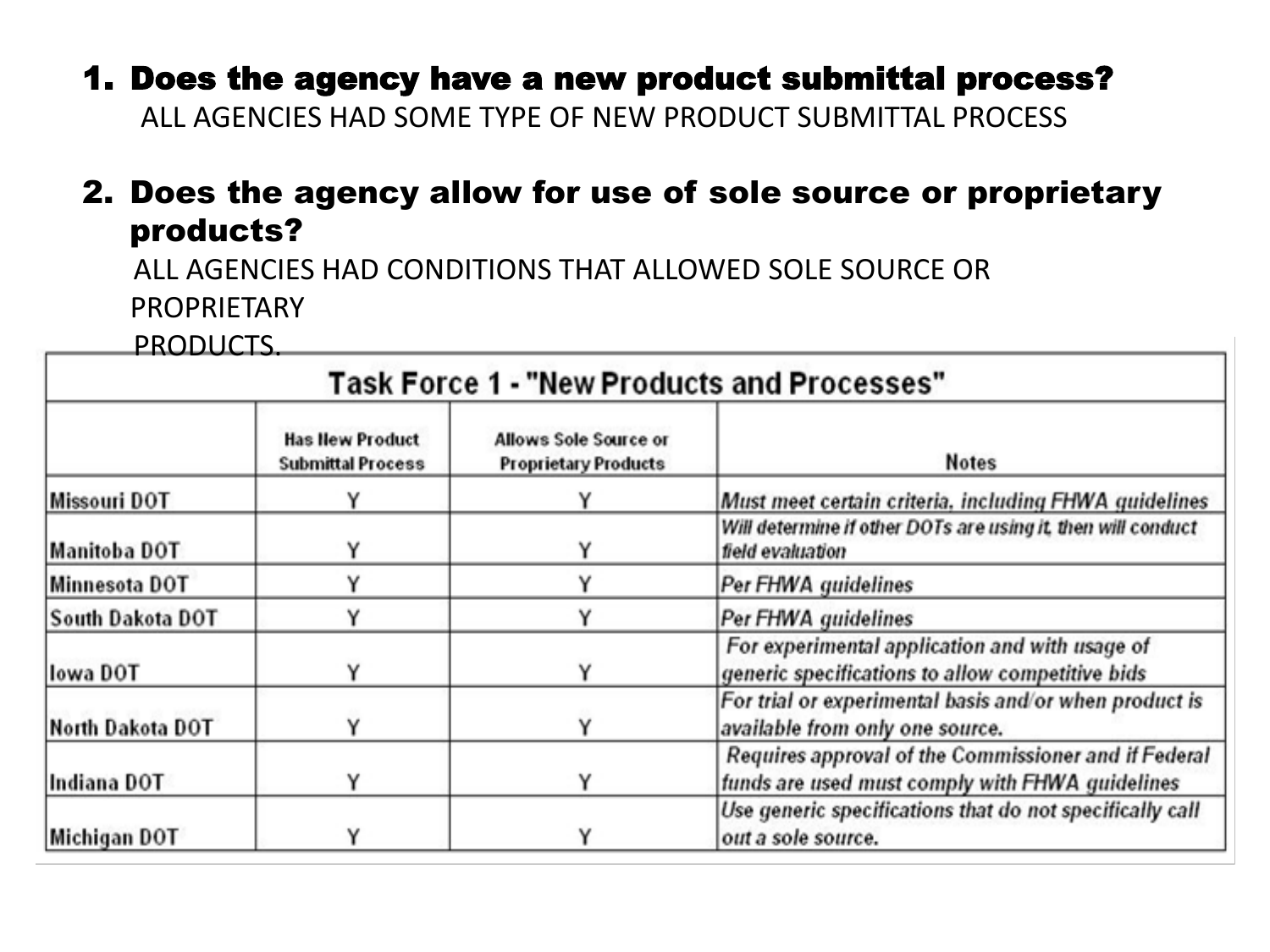1. Does the agency have a new product submittal process? ALL AGENCIES HAD SOME TYPE OF NEW PRODUCT SUBMITTAL PROCESS

#### 2. Does the agency allow for use of sole source or proprietary products?

 ALL AGENCIES HAD CONDITIONS THAT ALLOWED SOLE SOURCE OR **PROPRIETARY** 

PRODUCTS.

|                  |                                                    |                                                             | <b>Task Force 1 - "New Products and Processes"</b>                                                      |
|------------------|----------------------------------------------------|-------------------------------------------------------------|---------------------------------------------------------------------------------------------------------|
|                  | <b>Has New Product</b><br><b>Submittal Process</b> | <b>Allows Sole Source or</b><br><b>Proprietary Products</b> | <b>Notes</b>                                                                                            |
| Missouri DOT     |                                                    |                                                             | Must meet certain criteria, including FHWA guidelines                                                   |
| Manitoba DOT     |                                                    |                                                             | Will determine if other DOTs are using it, then will conduct<br>field evaluation                        |
| Minnesota DOT    |                                                    | Υ                                                           | Per FHWA guidelines                                                                                     |
| South Dakota DOT |                                                    |                                                             | Per FHWA guidelines                                                                                     |
| lowa DOT         |                                                    |                                                             | For experimental application and with usage of<br>generic specifications to allow competitive bids      |
| North Dakota DOT |                                                    |                                                             | For trial or experimental basis and/or when product is<br>available from only one source.               |
| Indiana DOT      |                                                    | Υ                                                           | Requires approval of the Commissioner and if Federal<br>funds are used must comply with FHWA guidelines |
| Michigan DOT     |                                                    |                                                             | Use generic specifications that do not specifically call<br>out a sole source.                          |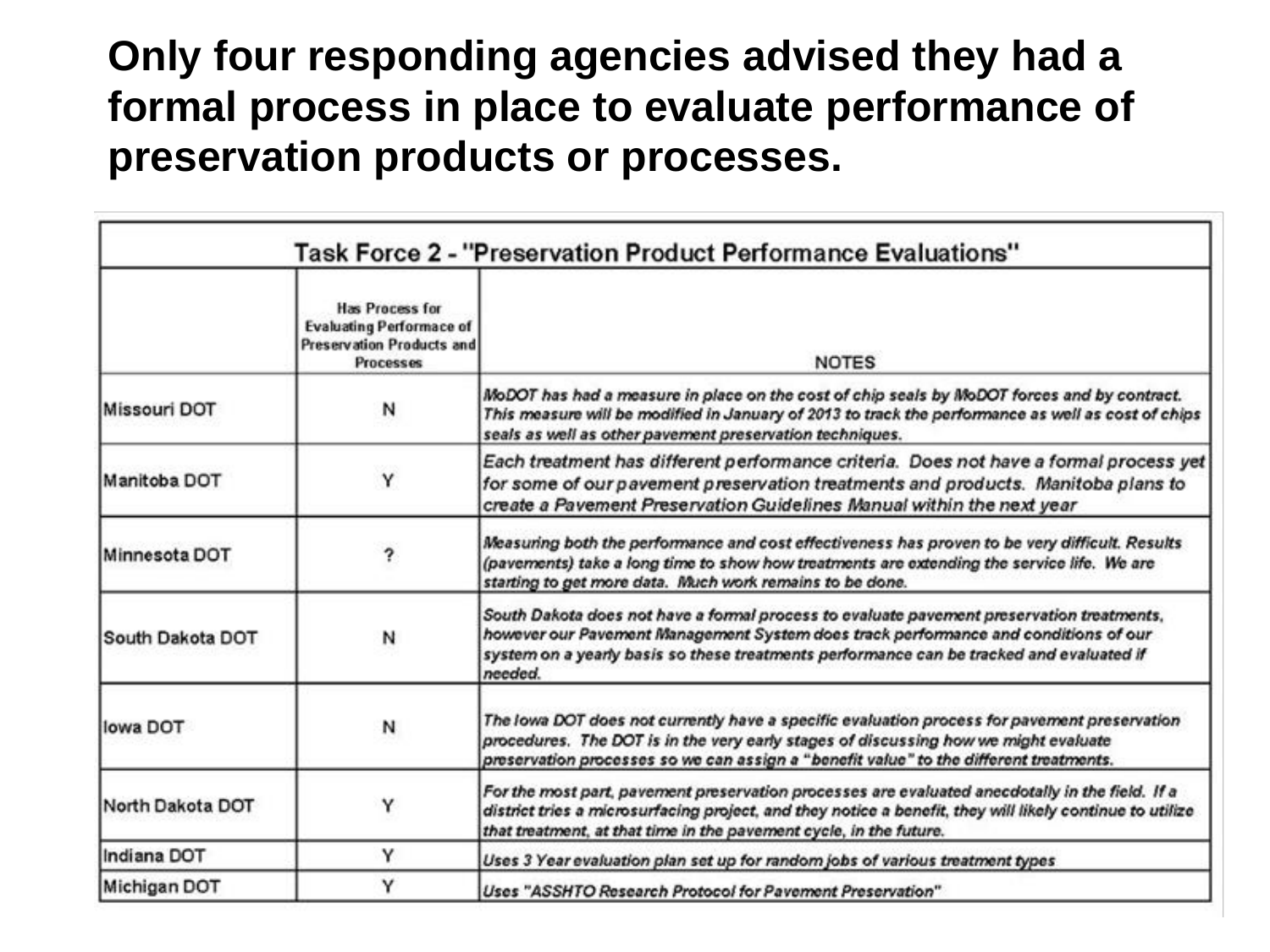### **Only four responding agencies advised they had a formal process in place to evaluate performance of preservation products or processes.**

|                  |                                                                                                     | Task Force 2 - "Preservation Product Performance Evaluations"                                                                                                                                                                                                                           |
|------------------|-----------------------------------------------------------------------------------------------------|-----------------------------------------------------------------------------------------------------------------------------------------------------------------------------------------------------------------------------------------------------------------------------------------|
|                  | <b>Has Process for</b><br><b>Evaluating Performace of</b><br>Preservation Products and<br>Processes | <b>NOTES</b>                                                                                                                                                                                                                                                                            |
| Missouri DOT     | N                                                                                                   | MoDOT has had a measure in place on the cost of chip seals by MoDOT forces and by contract.<br>This measure will be modified in January of 2013 to track the performance as well as cost of chips<br>seals as well as other pavement preservation techniques.                           |
| Manitoba DOT     | Y                                                                                                   | Each treatment has different performance criteria. Does not have a formal process yet<br>for some of our pavement preservation treatments and products. Manitoba plans to<br>create a Pavement Preservation Guidelines Manual within the next year                                      |
| Minnesota DOT    | ?                                                                                                   | Measuring both the performance and cost effectiveness has proven to be very difficult. Results<br>(pavements) take a long time to show how treatments are extending the service life. We are<br>starting to get more data. Much work remains to be done.                                |
| South Dakota DOT | N                                                                                                   | South Dakota does not have a formal process to evaluate pavement preservation treatments,<br>however our Pavement Management System does track performance and conditions of our<br>system on a yearly basis so these treatments performance can be tracked and evaluated if<br>needed. |
| llowa DOT        | И                                                                                                   | The lowa DOT does not currently have a specific evaluation process for pavement preservation<br>procedures. The DOT is in the very early stages of discussing how we might evaluate<br>preservation processes so we can assign a "benefit value" to the different treatments.           |
| North Dakota DOT | Y                                                                                                   | For the most part, pavement preservation processes are evaluated anecdotally in the field. If a<br>district tries a microsurfacing project, and they notice a benefit, they will likely continue to utilize<br>that treatment, at that time in the pavement cycle, in the future.       |
| Indiana DOT      | Y                                                                                                   | Uses 3 Year evaluation plan set up for random jobs of various treatment types                                                                                                                                                                                                           |
| Michigan DOT     | Y                                                                                                   | Uses "ASSHTO Research Protocol for Pavement Preservation"                                                                                                                                                                                                                               |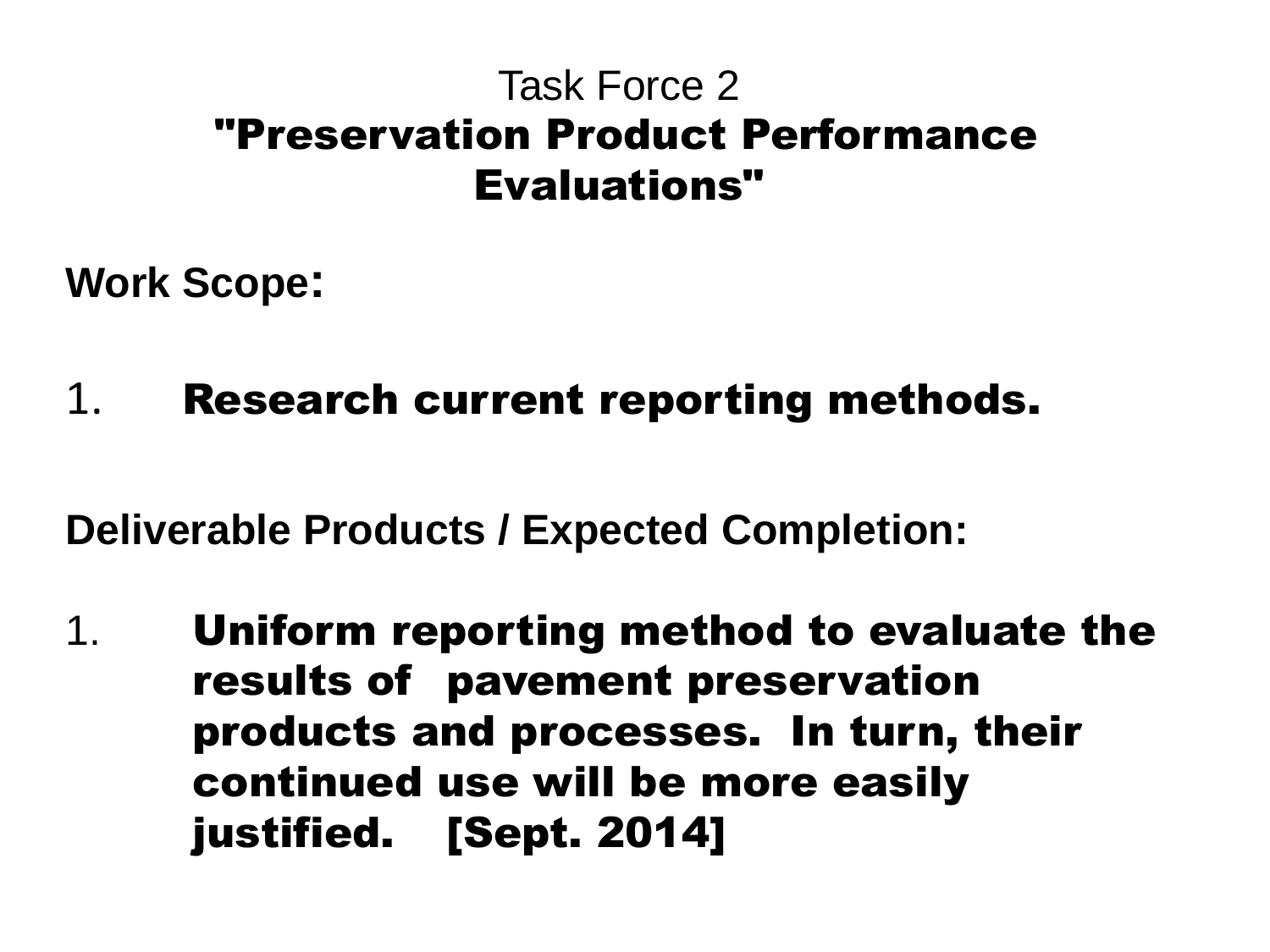### Task Force 2 "Preservation Product Performance Evaluations"

**Work Scope:** 

1. Research current reporting methods.

**Deliverable Products / Expected Completion:** 

1. Uniform reporting method to evaluate the results of pavement preservation products and processes. In turn, their continued use will be more easily justified. [Sept. 2014]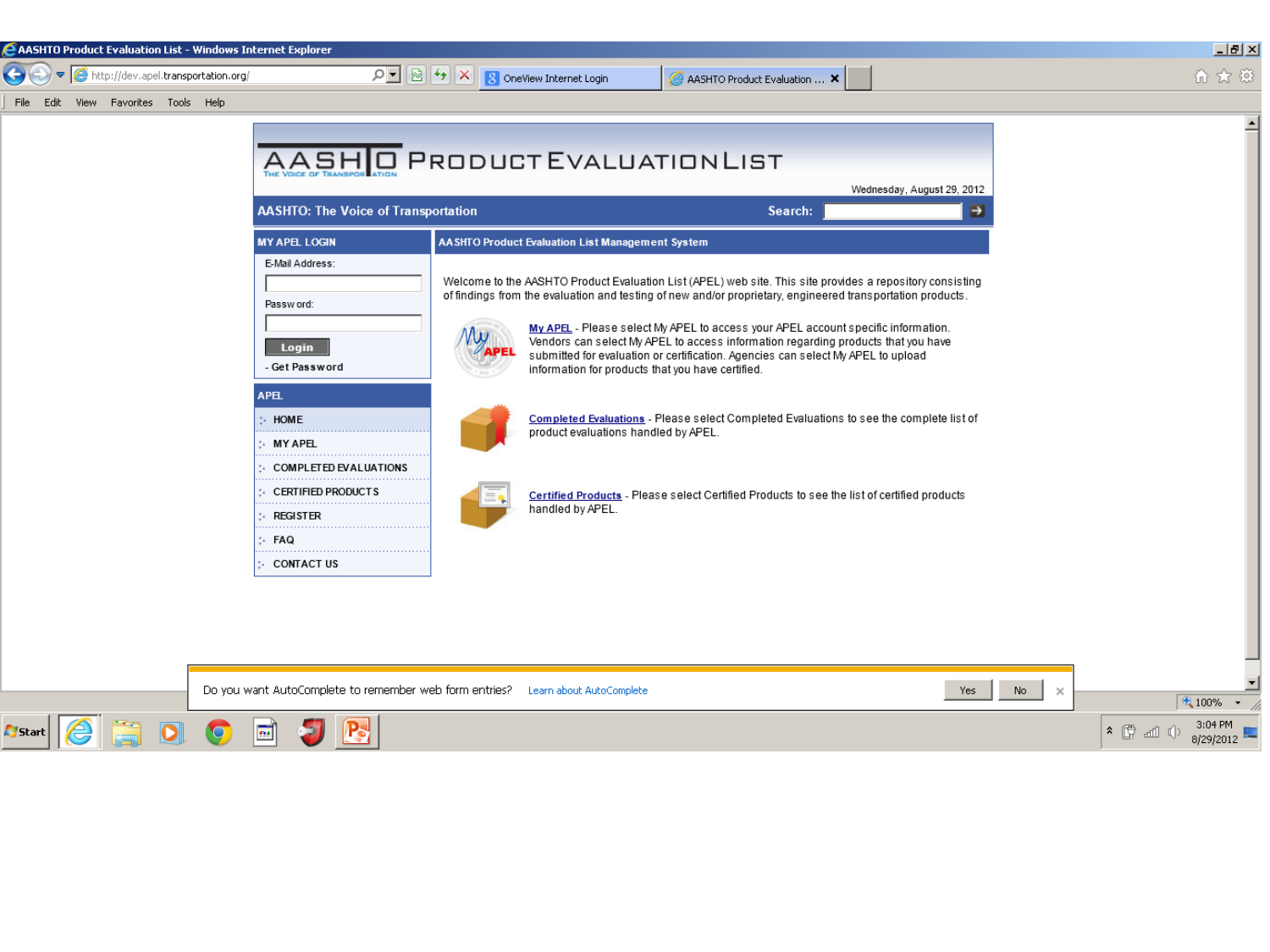| AASHTO Product Evaluation List - Windows Internet Explorer           |                          |                              | - FX |
|----------------------------------------------------------------------|--------------------------|------------------------------|------|
| $\bigodot$ $\bigodot$ $\bigodot$ http://dev.apel.transportation.org/ | 8 OneView Internet Login | AASHTO Product Evaluation  X |      |
| File Edit View Favorites Tools Help                                  |                          |                              |      |
|                                                                      |                          |                              |      |

| <b>AASHTO: The Voice of Transportation</b>                                                     |                                                                                                                                                                                                                                                                                                                                                                                                                                                                                                                                            | Search: | Wednesday, August 29, 2012<br>Ð |
|------------------------------------------------------------------------------------------------|--------------------------------------------------------------------------------------------------------------------------------------------------------------------------------------------------------------------------------------------------------------------------------------------------------------------------------------------------------------------------------------------------------------------------------------------------------------------------------------------------------------------------------------------|---------|---------------------------------|
| <b>MY APEL LOGIN</b>                                                                           | <b>AASHTO Product Evaluation List Management System</b>                                                                                                                                                                                                                                                                                                                                                                                                                                                                                    |         |                                 |
| E-Mail Address:<br>Password:<br>Login<br>- Get Password                                        | Welcome to the AASHTO Product Evaluation List (APEL) web site. This site provides a repository consisting<br>of findings from the evaluation and testing of new and/or proprietary, engineered transportation products.<br>My APEL - Please select My APEL to access your APEL account specific information.<br>Vendors can select My APEL to access information regarding products that you have<br>submitted for evaluation or certification. Agencies can select My APEL to upload<br>information for products that you have certified. |         |                                 |
| <b>APEL</b><br>$:$ HOME<br>$:$ MY APEL                                                         | Completed Evaluations - Please select Completed Evaluations to see the complete list of<br>product evaluations handled by APEL.                                                                                                                                                                                                                                                                                                                                                                                                            |         |                                 |
| $\therefore$ COMPLETED EVALUATIONS<br>: CERTIFIED PRODUCTS<br><b>REGISTER</b><br>t.,<br>:- FAQ | Certified Products - Please select Certified Products to see the list of certified products<br>handled by APEL.                                                                                                                                                                                                                                                                                                                                                                                                                            |         |                                 |
| :- CONTACT US                                                                                  |                                                                                                                                                                                                                                                                                                                                                                                                                                                                                                                                            |         |                                 |

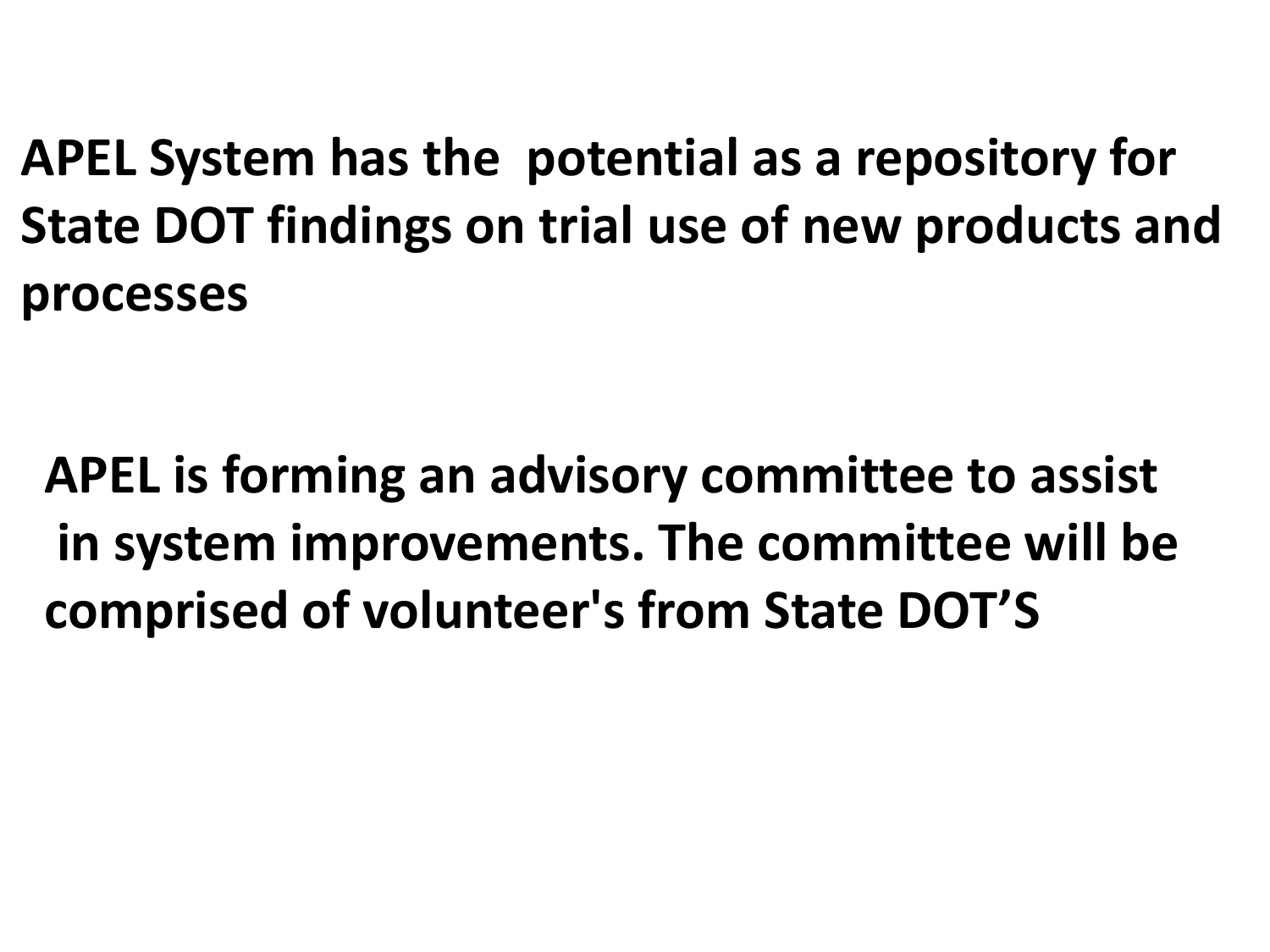**APEL System has the potential as a repository for State DOT findings on trial use of new products and processes**

**APEL is forming an advisory committee to assist in system improvements. The committee will be comprised of volunteer's from State DOT'S**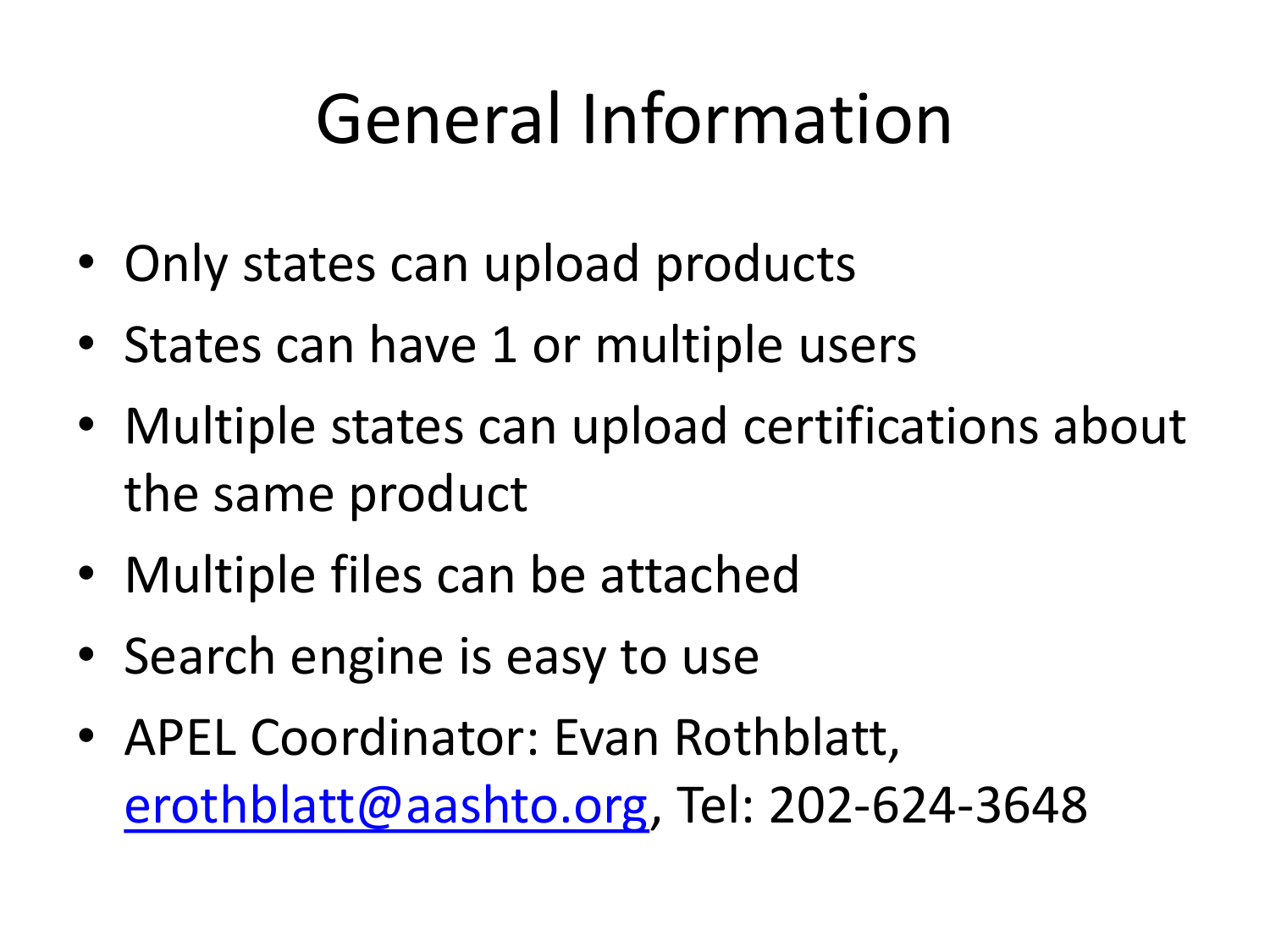# General Information

- Only states can upload products
- States can have 1 or multiple users
- Multiple states can upload certifications about the same product
- Multiple files can be attached
- Search engine is easy to use
- APEL Coordinator: Evan Rothblatt, [erothblatt@aashto.org](mailto:erothblatt@aashto.org), Tel: 202-624-3648